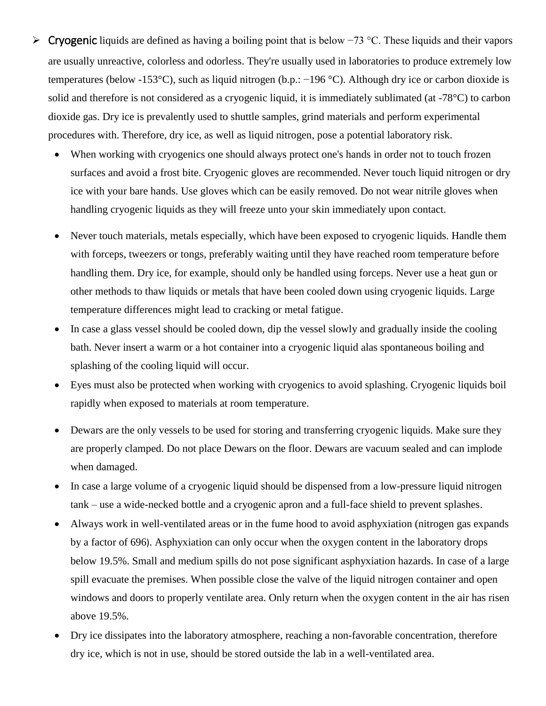- Cryogenic liquids are defined as having a boiling point that is below −73 °C. These liquids and their vapors are usually unreactive, colorless and odorless. They're usually used in laboratories to produce extremely low temperatures (below -153°C), such as liquid nitrogen (b.p.: −196 °C). Although dry ice or carbon dioxide is solid and therefore is not considered as a cryogenic liquid, it is immediately sublimated (at -78°C) to carbon dioxide gas. Dry ice is prevalently used to shuttle samples, grind materials and perform experimental procedures with. Therefore, dry ice, as well as liquid nitrogen, pose a potential laboratory risk.
	- When working with cryogenics one should always protect one's hands in order not to touch frozen surfaces and avoid a frost bite. Cryogenic gloves are recommended. Never touch liquid nitrogen or dry ice with your bare hands. Use gloves which can be easily removed. Do not wear nitrile gloves when handling cryogenic liquids as they will freeze unto your skin immediately upon contact.
	- Never touch materials, metals especially, which have been exposed to cryogenic liquids. Handle them with forceps, tweezers or tongs, preferably waiting until they have reached room temperature before handling them. Dry ice, for example, should only be handled using forceps. Never use a heat gun or other methods to thaw liquids or metals that have been cooled down using cryogenic liquids. Large temperature differences might lead to cracking or metal fatigue.
	- In case a glass vessel should be cooled down, dip the vessel slowly and gradually inside the cooling bath. Never insert a warm or a hot container into a cryogenic liquid alas spontaneous boiling and splashing of the cooling liquid will occur.
	- Eyes must also be protected when working with cryogenics to avoid splashing. Cryogenic liquids boil rapidly when exposed to materials at room temperature.
	- Dewars are the only vessels to be used for storing and transferring cryogenic liquids. Make sure they are properly clamped. Do not place Dewars on the floor. Dewars are vacuum sealed and can implode when damaged.
	- In case a large volume of a cryogenic liquid should be dispensed from a low-pressure liquid nitrogen tank – use a wide-necked bottle and a cryogenic apron and a full-face shield to prevent splashes.
	- Always work in well-ventilated areas or in the fume hood to avoid asphyxiation (nitrogen gas expands by a factor of 696). Asphyxiation can only occur when the oxygen content in the laboratory drops below 19.5%. Small and medium spills do not pose significant asphyxiation hazards. In case of a large spill evacuate the premises. When possible close the valve of the liquid nitrogen container and open windows and doors to properly ventilate area. Only return when the oxygen content in the air has risen above 19.5%.
	- Dry ice dissipates into the laboratory atmosphere, reaching a non-favorable concentration, therefore dry ice, which is not in use, should be stored outside the lab in a well-ventilated area.